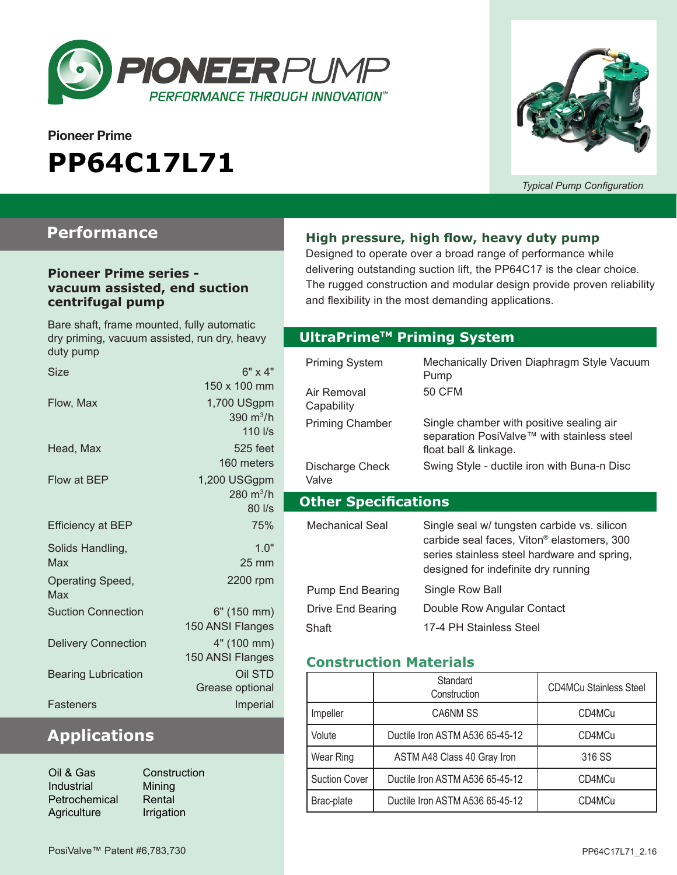

# **Pioneer Prime PP64C17L71**



*Typical Pump Configuration*

### **Performance**

#### **Pioneer Prime series vacuum assisted, end suction centrifugal pump**

Bare shaft, frame mounted, fully automatic dry priming, vacuum assisted, run dry, heavy duty pump

| Size                       | $6" \times 4"$      |
|----------------------------|---------------------|
|                            | 150 x 100 mm        |
| Flow, Max                  | 1,700 USgpm         |
|                            | 390 $m^3/h$         |
|                            | $110$ $\text{I/s}$  |
| Head, Max                  | 525 feet            |
|                            | 160 meters          |
| Flow at BEP                | 1,200 USGgpm        |
|                            | $280 \text{ m}^3/h$ |
|                            | $80$ I/s            |
| <b>Efficiency at BEP</b>   | 75%                 |
| Solids Handling,           | 10"                 |
| Max                        | $25 \text{ mm}$     |
| Operating Speed,           | 2200 rpm            |
| Max                        |                     |
| <b>Suction Connection</b>  | 6" (150 mm)         |
|                            | 150 ANSI Flanges    |
| <b>Delivery Connection</b> | 4" (100 mm)         |
|                            | 150 ANSI Flanges    |
| <b>Bearing Lubrication</b> | Oil STD             |
|                            | Grease optional     |
|                            |                     |
| Fasteners                  | Imperial            |

### **Applications**

| Oil & Gas     | Construc   |
|---------------|------------|
| Industrial    | Mining     |
| Petrochemical | Rental     |
| Agriculture   | Irrigation |
|               |            |

ruction

#### **High pressure, high flow, heavy duty pump**

Designed to operate over a broad range of performance while delivering outstanding suction lift, the PP64C17 is the clear choice. The rugged construction and modular design provide proven reliability and flexibility in the most demanding applications.

#### **Optional Priming System UltraPrimeTM Priming System**

| <b>Priming System</b>       | Mechanically Driven Diaphragm Style Vacuum<br>Pump                                                                                                                                          |  |  |
|-----------------------------|---------------------------------------------------------------------------------------------------------------------------------------------------------------------------------------------|--|--|
| Air Removal<br>Capability   | <b>50 CFM</b>                                                                                                                                                                               |  |  |
| <b>Priming Chamber</b>      | Single chamber with positive sealing air<br>separation PosiValve™ with stainless steel<br>float ball & linkage.                                                                             |  |  |
| Discharge Check<br>Valve    | Swing Style - ductile iron with Buna-n Disc                                                                                                                                                 |  |  |
| <b>Other Specifications</b> |                                                                                                                                                                                             |  |  |
|                             |                                                                                                                                                                                             |  |  |
| Mechanical Seal             | Single seal w/ tungsten carbide vs. silicon<br>carbide seal faces, Viton <sup>®</sup> elastomers, 300<br>series stainless steel hardware and spring,<br>designed for indefinite dry running |  |  |
| Pump End Bearing            | Single Row Ball                                                                                                                                                                             |  |  |
| Drive End Bearing           | Double Row Angular Contact                                                                                                                                                                  |  |  |

#### **Construction Materials**

|                      | Standard<br>Construction        | <b>CD4MCu Stainless Steel</b> |
|----------------------|---------------------------------|-------------------------------|
| Impeller             | CA6NM SS                        | CD4MCu                        |
| Volute               | Ductile Iron ASTM A536 65-45-12 | CD4MCu                        |
| Wear Ring            | ASTM A48 Class 40 Gray Iron     | 316 SS                        |
| <b>Suction Cover</b> | Ductile Iron ASTM A536 65-45-12 | CD4MCu                        |
| Brac-plate           | Ductile Iron ASTM A536 65-45-12 | CD4MCu                        |